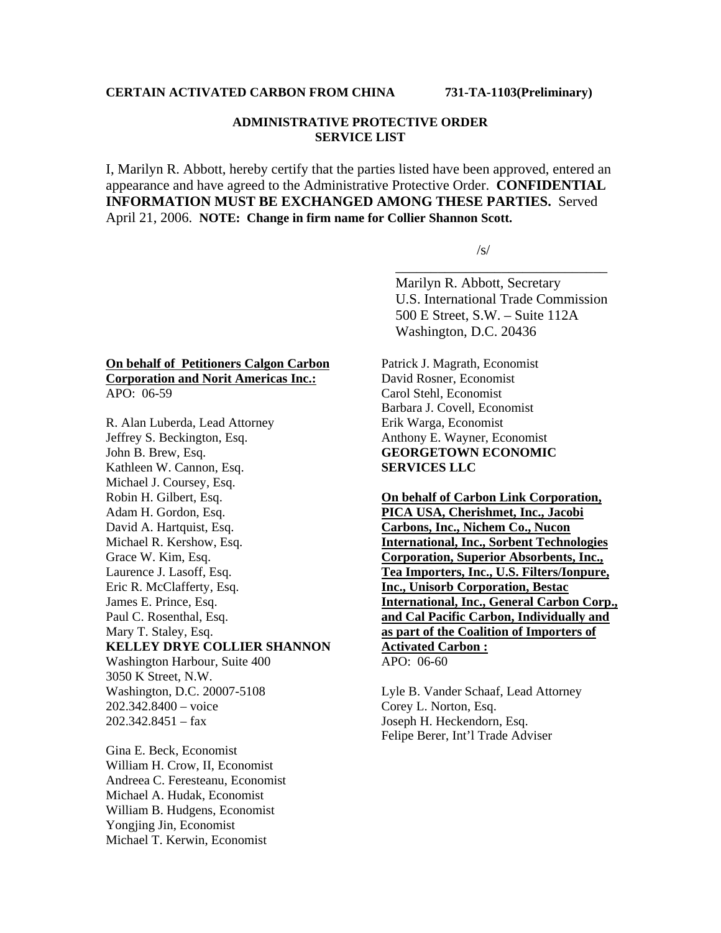## **ADMINISTRATIVE PROTECTIVE ORDER SERVICE LIST**

I, Marilyn R. Abbott, hereby certify that the parties listed have been approved, entered an appearance and have agreed to the Administrative Protective Order. **CONFIDENTIAL INFORMATION MUST BE EXCHANGED AMONG THESE PARTIES.** Served April 21, 2006. **NOTE: Change in firm name for Collier Shannon Scott.** 

 $\overline{\phantom{a}}$  , which is a set of the contract of the contract of the contract of the contract of the contract of the contract of the contract of the contract of the contract of the contract of the contract of the contract

 $\sqrt{s/2}$ 

 Marilyn R. Abbott, Secretary U.S. International Trade Commission 500 E Street, S.W. – Suite 112A Washington, D.C. 20436

## **On behalf of Petitioners Calgon Carbon Corporation and Norit Americas Inc.:** APO: 06-59

R. Alan Luberda, Lead Attorney Jeffrey S. Beckington, Esq. John B. Brew, Esq. Kathleen W. Cannon, Esq. Michael J. Coursey, Esq. Robin H. Gilbert, Esq. Adam H. Gordon, Esq. David A. Hartquist, Esq. Michael R. Kershow, Esq. Grace W. Kim, Esq. Laurence J. Lasoff, Esq. Eric R. McClafferty, Esq. James E. Prince, Esq. Paul C. Rosenthal, Esq. Mary T. Staley, Esq. **KELLEY DRYE COLLIER SHANNON**  Washington Harbour, Suite 400 3050 K Street, N.W. Washington, D.C. 20007-5108 202.342.8400 – voice  $202.342.8451 - fax$ 

Gina E. Beck, Economist William H. Crow, II, Economist Andreea C. Feresteanu, Economist Michael A. Hudak, Economist William B. Hudgens, Economist Yongjing Jin, Economist Michael T. Kerwin, Economist

Patrick J. Magrath, Economist David Rosner, Economist Carol Stehl, Economist Barbara J. Covell, Economist Erik Warga, Economist Anthony E. Wayner, Economist **GEORGETOWN ECONOMIC SERVICES LLC**

**On behalf of Carbon Link Corporation, PICA USA, Cherishmet, Inc., Jacobi Carbons, Inc., Nichem Co., Nucon International, Inc., Sorbent Technologies Corporation, Superior Absorbents, Inc., Tea Importers, Inc., U.S. Filters/Ionpure, Inc., Unisorb Corporation, Bestac International, Inc., General Carbon Corp., and Cal Pacific Carbon, Individually and as part of the Coalition of Importers of Activated Carbon :** APO: 06-60

Lyle B. Vander Schaaf, Lead Attorney Corey L. Norton, Esq. Joseph H. Heckendorn, Esq. Felipe Berer, Int'l Trade Adviser